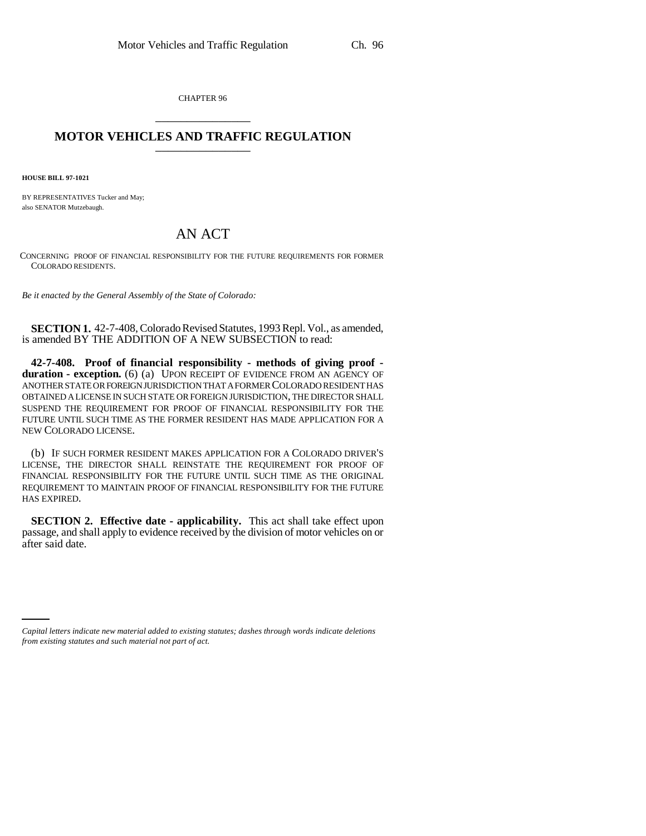CHAPTER 96 \_\_\_\_\_\_\_\_\_\_\_\_\_\_\_

## **MOTOR VEHICLES AND TRAFFIC REGULATION** \_\_\_\_\_\_\_\_\_\_\_\_\_\_\_

**HOUSE BILL 97-1021**

BY REPRESENTATIVES Tucker and May; also SENATOR Mutzebaugh.

## AN ACT

CONCERNING PROOF OF FINANCIAL RESPONSIBILITY FOR THE FUTURE REQUIREMENTS FOR FORMER COLORADO RESIDENTS.

*Be it enacted by the General Assembly of the State of Colorado:*

**SECTION 1.** 42-7-408, Colorado Revised Statutes, 1993 Repl. Vol., as amended, is amended BY THE ADDITION OF A NEW SUBSECTION to read:

**42-7-408. Proof of financial responsibility - methods of giving proof**  duration - exception. (6) (a) UPON RECEIPT OF EVIDENCE FROM AN AGENCY OF ANOTHER STATE OR FOREIGN JURISDICTION THAT A FORMER COLORADO RESIDENT HAS OBTAINED A LICENSE IN SUCH STATE OR FOREIGN JURISDICTION, THE DIRECTOR SHALL SUSPEND THE REQUIREMENT FOR PROOF OF FINANCIAL RESPONSIBILITY FOR THE FUTURE UNTIL SUCH TIME AS THE FORMER RESIDENT HAS MADE APPLICATION FOR A NEW COLORADO LICENSE.

(b) IF SUCH FORMER RESIDENT MAKES APPLICATION FOR A COLORADO DRIVER'S LICENSE, THE DIRECTOR SHALL REINSTATE THE REQUIREMENT FOR PROOF OF FINANCIAL RESPONSIBILITY FOR THE FUTURE UNTIL SUCH TIME AS THE ORIGINAL REQUIREMENT TO MAINTAIN PROOF OF FINANCIAL RESPONSIBILITY FOR THE FUTURE HAS EXPIRED.

**SECTION 2. Effective date - applicability.** This act shall take effect upon passage, and shall apply to evidence received by the division of motor vehicles on or after said date.

*Capital letters indicate new material added to existing statutes; dashes through words indicate deletions from existing statutes and such material not part of act.*